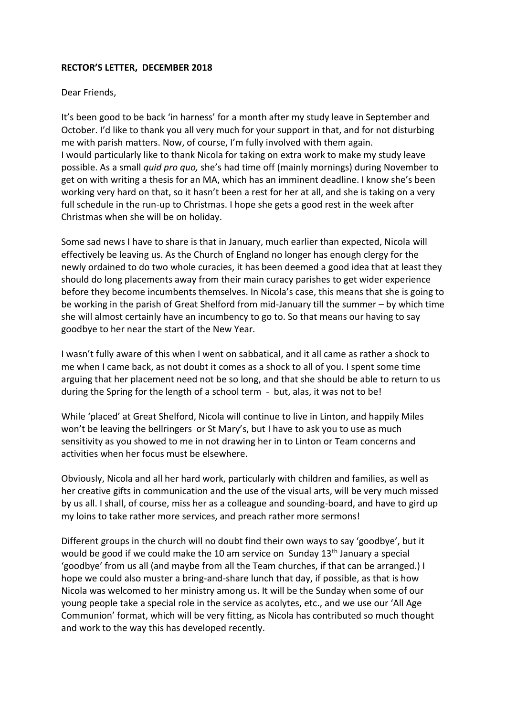## **RECTOR'S LETTER, DECEMBER 2018**

## Dear Friends,

It's been good to be back 'in harness' for a month after my study leave in September and October. I'd like to thank you all very much for your support in that, and for not disturbing me with parish matters. Now, of course, I'm fully involved with them again. I would particularly like to thank Nicola for taking on extra work to make my study leave possible. As a small *quid pro quo,* she's had time off (mainly mornings) during November to get on with writing a thesis for an MA, which has an imminent deadline. I know she's been working very hard on that, so it hasn't been a rest for her at all, and she is taking on a very full schedule in the run-up to Christmas. I hope she gets a good rest in the week after Christmas when she will be on holiday.

Some sad news I have to share is that in January, much earlier than expected, Nicola will effectively be leaving us. As the Church of England no longer has enough clergy for the newly ordained to do two whole curacies, it has been deemed a good idea that at least they should do long placements away from their main curacy parishes to get wider experience before they become incumbents themselves. In Nicola's case, this means that she is going to be working in the parish of Great Shelford from mid-January till the summer – by which time she will almost certainly have an incumbency to go to. So that means our having to say goodbye to her near the start of the New Year.

I wasn't fully aware of this when I went on sabbatical, and it all came as rather a shock to me when I came back, as not doubt it comes as a shock to all of you. I spent some time arguing that her placement need not be so long, and that she should be able to return to us during the Spring for the length of a school term - but, alas, it was not to be!

While 'placed' at Great Shelford, Nicola will continue to live in Linton, and happily Miles won't be leaving the bellringers or St Mary's, but I have to ask you to use as much sensitivity as you showed to me in not drawing her in to Linton or Team concerns and activities when her focus must be elsewhere.

Obviously, Nicola and all her hard work, particularly with children and families, as well as her creative gifts in communication and the use of the visual arts, will be very much missed by us all. I shall, of course, miss her as a colleague and sounding-board, and have to gird up my loins to take rather more services, and preach rather more sermons!

Different groups in the church will no doubt find their own ways to say 'goodbye', but it would be good if we could make the 10 am service on Sunday 13<sup>th</sup> January a special 'goodbye' from us all (and maybe from all the Team churches, if that can be arranged.) I hope we could also muster a bring-and-share lunch that day, if possible, as that is how Nicola was welcomed to her ministry among us. It will be the Sunday when some of our young people take a special role in the service as acolytes, etc., and we use our 'All Age Communion' format, which will be very fitting, as Nicola has contributed so much thought and work to the way this has developed recently.